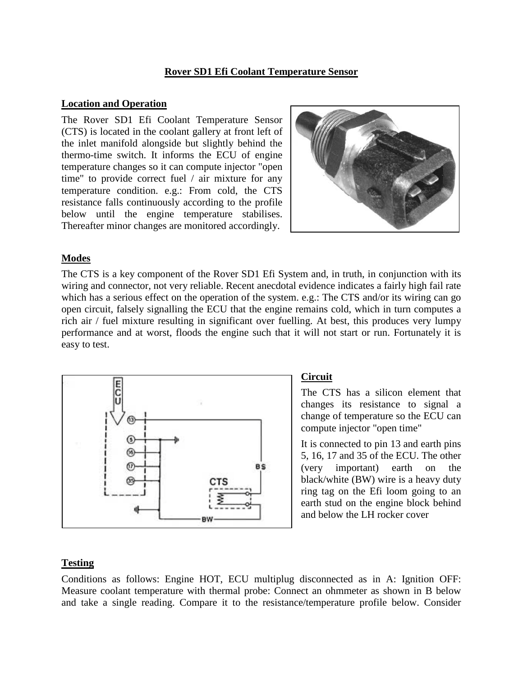#### **Rover SD1 Efi Coolant Temperature Sensor**

#### **Location and Operation**

The Rover SD1 Efi Coolant Temperature Sensor (CTS) is located in the coolant gallery at front left of the inlet manifold alongside but slightly behind the thermo-time switch. It informs the ECU of engine temperature changes so it can compute injector "open time" to provide correct fuel / air mixture for any temperature condition. e.g.: From cold, the CTS resistance falls continuously according to the profile below until the engine temperature stabilises. Thereafter minor changes are monitored accordingly.



### **Modes**

The CTS is a key component of the Rover SD1 Efi System and, in truth, in conjunction with its wiring and connector, not very reliable. Recent anecdotal evidence indicates a fairly high fail rate which has a serious effect on the operation of the system. e.g.: The CTS and/or its wiring can go open circuit, falsely signalling the ECU that the engine remains cold, which in turn computes a rich air / fuel mixture resulting in significant over fuelling. At best, this produces very lumpy performance and at worst, floods the engine such that it will not start or run. Fortunately it is easy to test.



## **Circuit**

The CTS has a silicon element that changes its resistance to signal a change of temperature so the ECU can compute injector "open time"

It is connected to pin 13 and earth pins 5, 16, 17 and 35 of the ECU. The other (very important) earth on the black/white (BW) wire is a heavy duty ring tag on the Efi loom going to an earth stud on the engine block behind and below the LH rocker cover

## **Testing**

Conditions as follows: Engine HOT, ECU multiplug disconnected as in A: Ignition OFF: Measure coolant temperature with thermal probe: Connect an ohmmeter as shown in B below and take a single reading. Compare it to the resistance/temperature profile below. Consider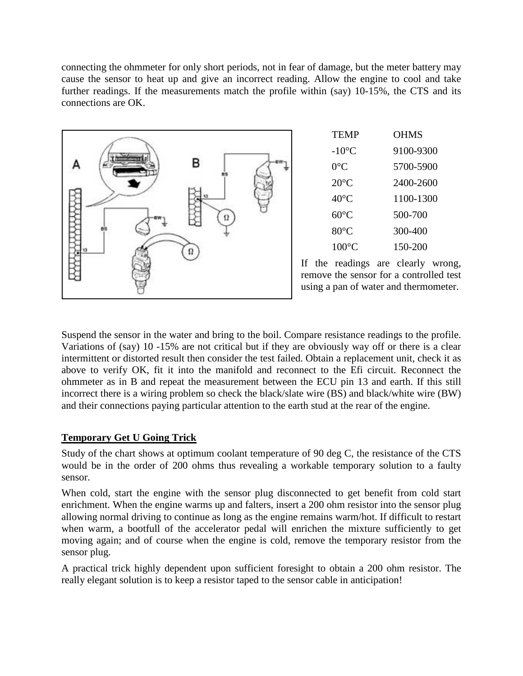connecting the ohmmeter for only short periods, not in fear of damage, but the meter battery may cause the sensor to heat up and give an incorrect reading. Allow the engine to cool and take further readings. If the measurements match the profile within (say) 10-15%, the CTS and its connections are OK.



Suspend the sensor in the water and bring to the boil. Compare resistance readings to the profile. Variations of (say) 10 -15% are not critical but if they are obviously way off or there is a clear intermittent or distorted result then consider the test failed. Obtain a replacement unit, check it as above to verify OK, fit it into the manifold and reconnect to the Efi circuit. Reconnect the ohmmeter as in B and repeat the measurement between the ECU pin 13 and earth. If this still incorrect there is a wiring problem so check the black/slate wire (BS) and black/white wire (BW) and their connections paying particular attention to the earth stud at the rear of the engine.

# **Temporary Get U Going Trick**

Study of the chart shows at optimum coolant temperature of 90 deg C, the resistance of the CTS would be in the order of 200 ohms thus revealing a workable temporary solution to a faulty sensor.

When cold, start the engine with the sensor plug disconnected to get benefit from cold start enrichment. When the engine warms up and falters, insert a 200 ohm resistor into the sensor plug allowing normal driving to continue as long as the engine remains warm/hot. If difficult to restart when warm, a bootfull of the accelerator pedal will enrichen the mixture sufficiently to get moving again; and of course when the engine is cold, remove the temporary resistor from the sensor plug.

A practical trick highly dependent upon sufficient foresight to obtain a 200 ohm resistor. The really elegant solution is to keep a resistor taped to the sensor cable in anticipation!